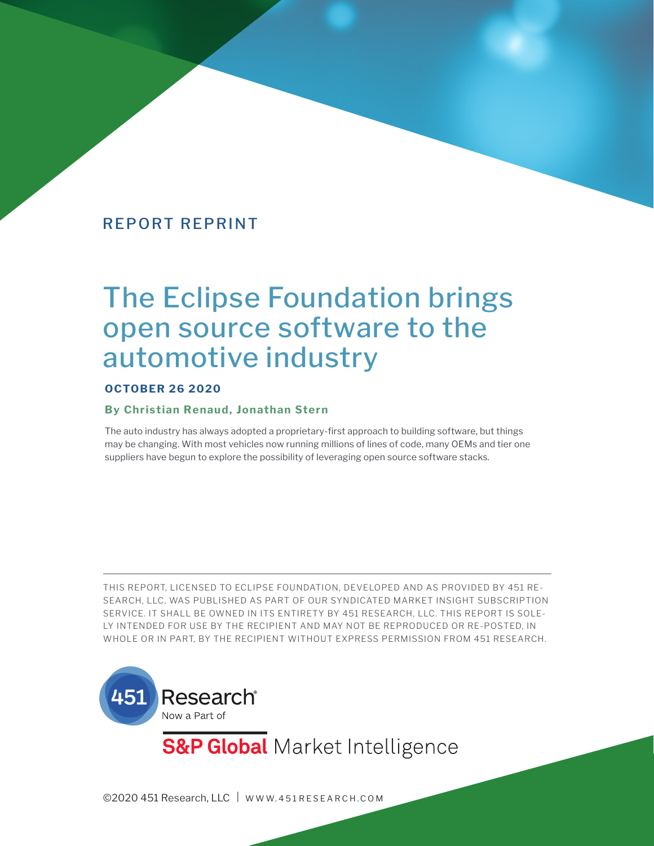# The Eclipse Foundation brings open source software to the automotive industry

#### **OCTOBER 26 2020**

#### **By Christian Renaud, Jonathan Stern**

The auto industry has always adopted a proprietary-first approach to building software, but things may be changing. With most vehicles now running millions of lines of code, many OEMs and tier one suppliers have begun to explore the possibility of leveraging open source software stacks.

THIS REPORT, LICENSED TO ECLIPSE FOUNDATION, DEVELOPED AND AS PROVIDED BY 451 RE-SEARCH, LLC, WAS PUBLISHED AS PART OF OUR SYNDICATED MARKET INSIGHT SUBSCRIPTION SERVICE. IT SHALL BE OWNED IN ITS ENTIRETY BY 451 RESEARCH, LLC. THIS REPORT IS SOLE-LY INTENDED FOR USE BY THE RECIPIENT AND MAY NOT BE REPRODUCED OR RE-POSTED, IN WHOLE OR IN PART, BY THE RECIPIENT WITHOUT EXPRESS PERMISSION FROM 451 RESEARCH.



**S&P Global** Market Intelligence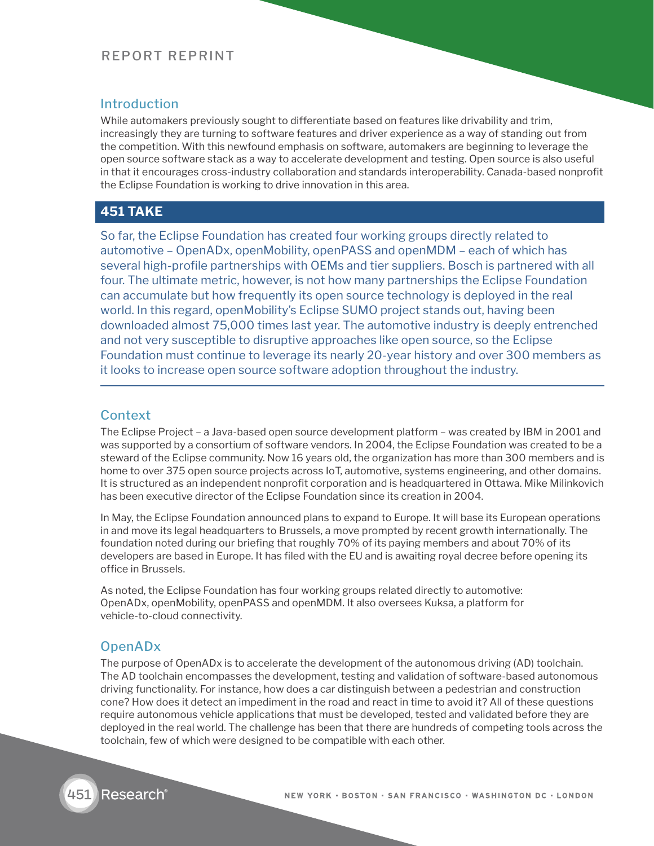#### Introduction

While automakers previously sought to differentiate based on features like drivability and trim, increasingly they are turning to software features and driver experience as a way of standing out from the competition. With this newfound emphasis on software, automakers are beginning to leverage the open source software stack as a way to accelerate development and testing. Open source is also useful in that it encourages cross-industry collaboration and standards interoperability. Canada-based nonprofit the Eclipse Foundation is working to drive innovation in this area.

## **451 TAKE**

So far, the Eclipse Foundation has created four working groups directly related to automotive – OpenADx, openMobility, openPASS and openMDM – each of which has several high-profile partnerships with OEMs and tier suppliers. Bosch is partnered with all four. The ultimate metric, however, is not how many partnerships the Eclipse Foundation can accumulate but how frequently its open source technology is deployed in the real world. In this regard, openMobility's Eclipse SUMO project stands out, having been downloaded almost 75,000 times last year. The automotive industry is deeply entrenched and not very susceptible to disruptive approaches like open source, so the Eclipse Foundation must continue to leverage its nearly 20-year history and over 300 members as it looks to increase open source software adoption throughout the industry.

#### **Context**

The Eclipse Project – a Java-based open source development platform – was created by IBM in 2001 and was supported by a consortium of software vendors. In 2004, the Eclipse Foundation was created to be a steward of the Eclipse community. Now 16 years old, the organization has more than 300 members and is home to over 375 open source projects across IoT, automotive, systems engineering, and other domains. It is structured as an independent nonprofit corporation and is headquartered in Ottawa. Mike Milinkovich has been executive director of the Eclipse Foundation since its creation in 2004.

In May, the Eclipse Foundation announced plans to expand to Europe. It will base its European operations in and move its legal headquarters to Brussels, a move prompted by recent growth internationally. The foundation noted during our briefing that roughly 70% of its paying members and about 70% of its developers are based in Europe. It has filed with the EU and is awaiting royal decree before opening its office in Brussels.

As noted, the Eclipse Foundation has four working groups related directly to automotive: OpenADx, openMobility, openPASS and openMDM. It also oversees Kuksa, a platform for vehicle-to-cloud connectivity.

#### OpenADx

The purpose of OpenADx is to accelerate the development of the autonomous driving (AD) toolchain. The AD toolchain encompasses the development, testing and validation of software-based autonomous driving functionality. For instance, how does a car distinguish between a pedestrian and construction cone? How does it detect an impediment in the road and react in time to avoid it? All of these questions require autonomous vehicle applications that must be developed, tested and validated before they are deployed in the real world. The challenge has been that there are hundreds of competing tools across the toolchain, few of which were designed to be compatible with each other.

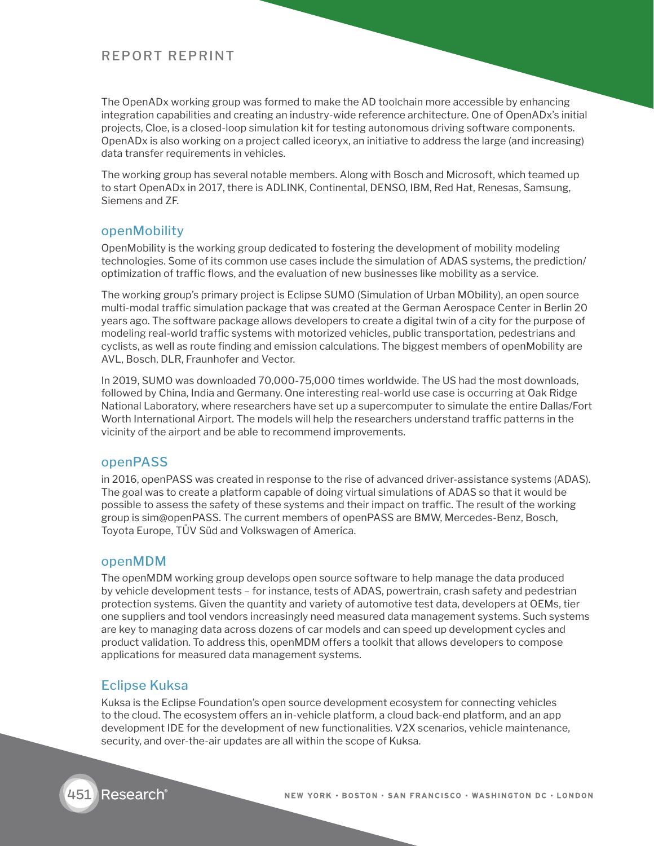The OpenADx working group was formed to make the AD toolchain more accessible by enhancing integration capabilities and creating an industry-wide reference architecture. One of OpenADx's initial projects, Cloe, is a closed-loop simulation kit for testing autonomous driving software components. OpenADx is also working on a project called iceoryx, an initiative to address the large (and increasing) data transfer requirements in vehicles.

The working group has several notable members. Along with Bosch and Microsoft, which teamed up to start OpenADx in 2017, there is ADLINK, Continental, DENSO, IBM, Red Hat, Renesas, Samsung, Siemens and ZF.

#### openMobility

OpenMobility is the working group dedicated to fostering the development of mobility modeling technologies. Some of its common use cases include the simulation of ADAS systems, the prediction/ optimization of traffic flows, and the evaluation of new businesses like mobility as a service.

The working group's primary project is Eclipse SUMO (Simulation of Urban MObility), an open source multi-modal traffic simulation package that was created at the German Aerospace Center in Berlin 20 years ago. The software package allows developers to create a digital twin of a city for the purpose of modeling real-world traffic systems with motorized vehicles, public transportation, pedestrians and cyclists, as well as route finding and emission calculations. The biggest members of openMobility are AVL, Bosch, DLR, Fraunhofer and Vector.

In 2019, SUMO was downloaded 70,000-75,000 times worldwide. The US had the most downloads, followed by China, India and Germany. One interesting real-world use case is occurring at Oak Ridge National Laboratory, where researchers have set up a supercomputer to simulate the entire Dallas/Fort Worth International Airport. The models will help the researchers understand traffic patterns in the vicinity of the airport and be able to recommend improvements.

#### openPASS

in 2016, openPASS was created in response to the rise of advanced driver-assistance systems (ADAS). The goal was to create a platform capable of doing virtual simulations of ADAS so that it would be possible to assess the safety of these systems and their impact on traffic. The result of the working group is sim@openPASS. The current members of openPASS are BMW, Mercedes-Benz, Bosch, Toyota Europe, TÜV Süd and Volkswagen of America.

#### openMDM

The openMDM working group develops open source software to help manage the data produced by vehicle development tests – for instance, tests of ADAS, powertrain, crash safety and pedestrian protection systems. Given the quantity and variety of automotive test data, developers at OEMs, tier one suppliers and tool vendors increasingly need measured data management systems. Such systems are key to managing data across dozens of car models and can speed up development cycles and product validation. To address this, openMDM offers a toolkit that allows developers to compose applications for measured data management systems.

## Eclipse Kuksa

Kuksa is the Eclipse Foundation's open source development ecosystem for connecting vehicles to the cloud. The ecosystem offers an in-vehicle platform, a cloud back-end platform, and an app development IDE for the development of new functionalities. V2X scenarios, vehicle maintenance, security, and over-the-air updates are all within the scope of Kuksa.